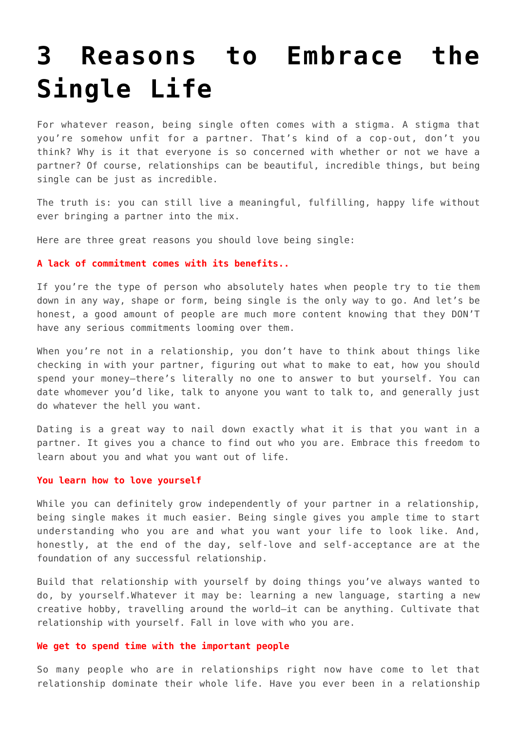## **[3 Reasons to Embrace the](https://intellectualtakeout.org/2016/11/3-reasons-to-embrace-the-single-life/) [Single Life](https://intellectualtakeout.org/2016/11/3-reasons-to-embrace-the-single-life/)**

For whatever reason, being single often comes with a stigma. A stigma that you're somehow unfit for a partner. That's kind of a cop-out, don't you think? Why is it that everyone is so concerned with whether or not we have a partner? Of course, relationships can be beautiful, incredible things, but being single can be just as incredible.

The truth is: you can still live a meaningful, fulfilling, happy life without ever bringing a partner into the mix.

Here are three great reasons you should love being single:

## **A lack of commitment comes with its benefits..**

If you're the type of person who absolutely hates when people try to tie them down in any way, shape or form, being single is the only way to go. And let's be honest, a good amount of people are much more content knowing that they DON'T have any serious commitments looming over them.

When you're not in a relationship, you don't have to think about things like checking in with your partner, figuring out what to make to eat, how you should spend your money–there's literally no one to answer to but yourself. You can date whomever you'd like, talk to anyone you want to talk to, and generally just do whatever the hell you want.

Dating is a great way to nail down exactly what it is that you want in a partner. It gives you a chance to find out who you are. Embrace this freedom to learn about you and what you want out of life.

## **You learn how to love yourself**

While you can definitely grow independently of your partner in a relationship, being single makes it much easier. Being single gives you ample time to start understanding who you are and what you want your life to look like. And, honestly, at the end of the day, self-love and self-acceptance are at the foundation of any successful relationship.

Build that relationship with yourself by doing things you've always wanted to do, by yourself.Whatever it may be: learning a new language, starting a new creative hobby, travelling around the world–it can be anything. Cultivate that relationship with yourself. Fall in love with who you are.

## **We get to spend time with the important people**

So many people who are in relationships right now have come to let that relationship dominate their whole life. Have you ever been in a relationship